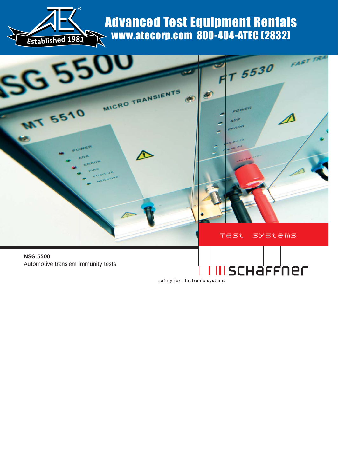

## Advanced Test Equipment Rentals www.atecorp.com 800-404-ATEC (2832)



safety for electronic systems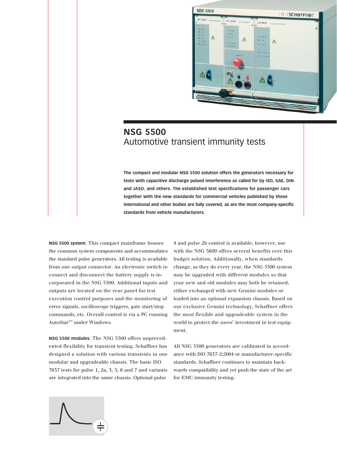

## **NSG 5500** Automotive transient immunity tests

**The compact and modular NSG 5500 solution offers the generators necessary for tests with capacitive discharge pulsed interference as called for by ISO, SAE, DIN and JASO, and others. The established test specifications for passenger cars together with the new standards for commercial vehicles published by these international and other bodies are fully covered, as are the most company-specific standards from vehicle manufacturers.**

**NSG 5500 system.** This compact mainframe houses the common system components and accommodates the standard pulse generators. All testing is available from one output connector. An electronic switch to connect and disconnect the battery supply is incorporated in the NSG 5500. Additional inputs and outputs are located on the rear panel for test execution control purposes and the monitoring of error signals, oscilloscope triggers, gate start/stop commands, etc. Overall control is via a PC running AutoStar<sup>™</sup> under Windows.

**NSG 5500 modules.** The NSG 5500 offers unprecedented flexibility for transient testing. Schaffner has designed a solution with various transients in one modular and upgradeable chassis. The basic ISO 7637 tests for pulse 1, 2a, 3, 5, 6 and 7 and variants are integrated into the same chassis. Optional pulse

4 and pulse 2b control is available, however, use with the NSG 5600 offers several benefits over this budget solution. Additionally, when standards change, as they do every year, the NSG 5500 system may be upgraded with different modules so that your new and old modules may both be retained, either exchanged with new Gemini modules or loaded into an optional expansion chassis. Based on our exclusive Gemini technology, Schaffner offers the most flexible and upgradeable system in the world to protect the users' investment in test equipment.

All NSG 5500 generators are calibrated in accordance with ISO 7637-2:2004 or manufacturer-specific standards. Schaffner continues to maintain backwards compatibility and yet push the state of the art for EMC immunity testing.

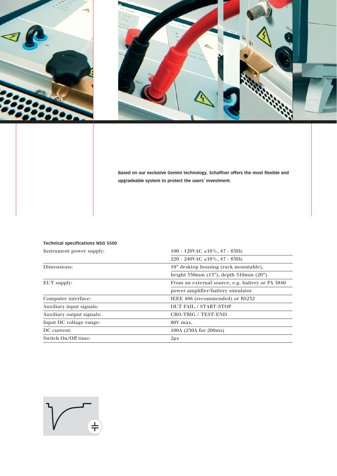



**Based on our exclusive Gemini technology, Schaffner offers the most flexible and upgradeable system to protect the users' investment.**

#### **Technical specifications NSG 5500**

| Instrument power supply:  | 100 - 120VAC ±10%, 47 - 63Hz                     |  |
|---------------------------|--------------------------------------------------|--|
|                           | 220 - 240VAC $\pm 10\%$ , 47 - 63Hz              |  |
| Dimensions:               | 19" desktop housing (rack mountable),            |  |
|                           | height $550mm$ (15"), depth $510mm$ (20")        |  |
| EUT supply:               | From an external source, e.g. battery or PA 5840 |  |
|                           | power amplifier/battery simulator                |  |
| Computer interface:       | IEEE 488 (recommended) or RS232                  |  |
| Auxiliary input signals:  | DUT FAIL / START-STOP                            |  |
| Auxiliary output signals: | <b>CRO-TRIG / TEST-END</b>                       |  |
| Input DC voltage range:   | 60V max.                                         |  |
| DC current:               | 100A (250A for 200ms)                            |  |
| Switch On/Off time:       | $2\mu s$                                         |  |

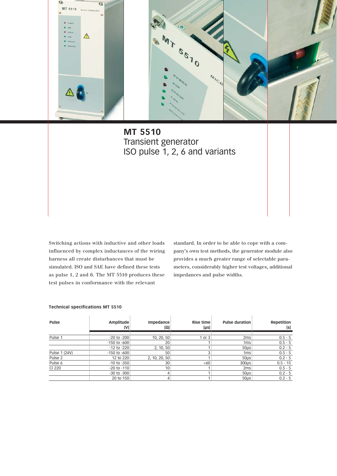

**MT 5510** Transient generator ISO pulse 1, 2, 6 and variants

Switching actions with inductive and other loads influenced by complex inductances of the wiring harness all create disturbances that must be simulated. ISO and SAE have defined these tests as pulse 1, 2 and 6. The MT 5510 produces these test pulses in conformance with the relevant

standard. In order to be able to cope with a company's own test methods, the generator module also provides a much greater range of selectable parameters, considerably higher test voltages, additional impedances and pulse widths.

#### **Technical specifications MT 5510**

| Pulse              | Amplitude<br>[V] | Impedance<br>[Ω] | Rise time<br>$[\mu s]$ | <b>Pulse duration</b> | Repetition<br>[s] |
|--------------------|------------------|------------------|------------------------|-----------------------|-------------------|
| Pulse 1            | $-20$ to $-200$  | 10, 20, 50       | 1 or 3                 | 2 <sub>ms</sub>       | $0.5 - 5$         |
|                    | $-150$ to $-600$ | 20               |                        | 1 <sub>ms</sub>       | $0.5 - 5$         |
|                    | $-12$ to $-220$  | 2, 10, 50        |                        | 50us                  | $0.2 - 5$         |
| Pulse 1 (24V)      | $-150$ to $-600$ | 50               |                        | 1 <sub>ms</sub>       | $0.5 - 5$         |
| Pulse <sub>2</sub> | 12 to 220        | 2, 10, 20, 50    |                        | 50 <sub>µ</sub>       | $0.2 - 5$         |
| Pulse 6            | $-10$ to $-350$  | 30               | <60                    | 300 <sub>µ</sub>      | $0.5 - 15$        |
| CI 220             | $-20$ to $-110$  | 10               |                        | 2 <sub>ms</sub>       | $0.5 - 5$         |
|                    | $-30$ to $-300$  | 4                |                        | 50us                  | $0.2 - 5$         |
|                    | 20 to 150        | 4                |                        | 50us                  | $0.2 - 5$         |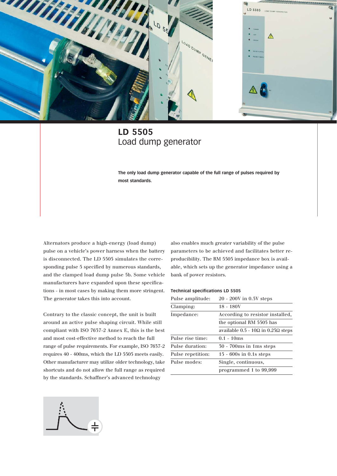

## **LD 5505** Load dump generator

**The only load dump generator capable of the full range of pulses required by most standards.**

Alternators produce a high-energy (load dump) pulse on a vehicle's power harness when the battery is disconnected. The LD 5505 simulates the corresponding pulse 5 specified by numerous standards, and the clamped load dump pulse 5b. Some vehicle manufacturers have expanded upon these specifications - in most cases by making them more stringent. The generator takes this into account.

Contrary to the classic concept, the unit is built around an active pulse shaping circuit. While still compliant with ISO 7637-2 Annex E, this is the best and most cost-effective method to reach the full range of pulse requirements. For example, ISO 7637-2 requires 40 - 400ms, which the LD 5505 meets easily. Other manufacturer may utilize older technology, take shortcuts and do not allow the full range as required by the standards. Schaffner's advanced technology

also enables much greater variability of the pulse parameters to be achieved and facilitates better reproducibility. The RM 5505 impedance box is available, which sets up the generator impedance using a bank of power resistors.

#### **Technical specifications LD 5505**

| Pulse amplitude:  | $20 - 200V$ in 0.5V steps                          |
|-------------------|----------------------------------------------------|
| Clamping:         | 18 - 180V                                          |
| Impedance:        | According to resistor installed,                   |
|                   | the optional RM 5505 has                           |
|                   | available $0.5$ - $10\Omega$ in $0.25\Omega$ steps |
| Pulse rise time:  | $0.1 - 10ms$                                       |
| Pulse duration:   | $50 - 700 \text{ms}$ in 1ms steps                  |
| Pulse repetition: | $15 - 600s$ in 0.1s steps                          |
| Pulse modes:      | Single, continuous,                                |
|                   | programmed 1 to 99,999                             |
|                   |                                                    |

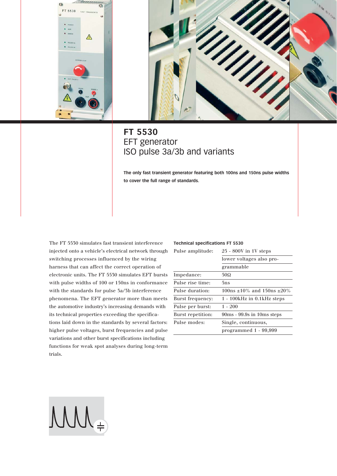



## **FT 5530** EFT generator ISO pulse 3a/3b and variants

**The only fast transient generator featuring both 100ns and 150ns pulse widths to cover the full range of standards.**

The FT 5530 simulates fast transient interference injected onto a vehicle's electrical network through switching processes influenced by the wiring harness that can affect the correct operation of electronic units. The FT 5530 simulates EFT bursts with pulse widths of 100 or 150ns in conformance with the standards for pulse 3a/3b interference phenomena. The EFT generator more than meets the automotive industry's increasing demands with its technical properties exceeding the specifications laid down in the standards by several factors: higher pulse voltages, burst frequencies and pulse variations and other burst specifications including functions for weak spot analyses during long-term trials.

#### **Technical specifications FT 5530**

| Pulse amplitude:  | 25 - 800V in 1V steps        |  |
|-------------------|------------------------------|--|
|                   | lower voltages also pro-     |  |
|                   | grammable                    |  |
| Impedance:        | 50.                          |  |
| Pulse rise time:  | 5ns                          |  |
| Pulse duration:   | $100$ ns ±10% and 150ns ±20% |  |
| Burst frequency:  | 1 - 100kHz in 0.1kHz steps   |  |
| Pulse per burst:  | $1 - 200$                    |  |
| Burst repetition: | 90ms - 99.9s in 10ms steps   |  |
| Pulse modes:      | Single, continuous,          |  |
|                   | programmed 1 - 99,999        |  |

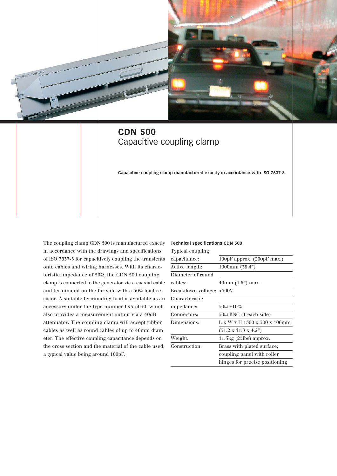

## **CDN 500** Capacitive coupling clamp

**Capacitive coupling clamp manufactured exactly in accordance with ISO 7637-3.**

The coupling clamp CDN 500 is manufactured exactly **Technical specifications CDN 500** in accordance with the drawings and specifications of ISO 7637-3 for capacitively coupling the transients onto cables and wiring harnesses. With its characteristic impedance of 50Ω, the CDN 500 coupling clamp is connected to the generator via a coaxial cable and terminated on the far side with a 50Ω load resistor. A suitable terminating load is available as an accessory under the type number INA 5030, which also provides a measurement output via a 40dB attenuator. The coupling clamp will accept ribbon cables as well as round cables of up to 40mm diameter. The effective coupling capacitance depends on the cross section and the material of the cable used; a typical value being around 100pF.

| <b>Typical coupling</b>  |                                                        |
|--------------------------|--------------------------------------------------------|
| capacitance:             | 100pF approx. (200pF max.)                             |
| Active length:           | $1000 \text{mm}$ (39.4")                               |
| Diameter of round        |                                                        |
| cables:                  | $40mm$ (1.6") max.                                     |
| Breakdown voltage: >500V |                                                        |
| Characteristic           |                                                        |
| impedance:               | $50\Omega \pm 10\%$                                    |
| Connectors:              | $50\Omega$ BNC (1 each side)                           |
| Dimensions:              | $L \times W \times H$ 1300 $\times$ 300 $\times$ 106mm |
|                          | $(51.2 \times 11.8 \times 4.2)$                        |
| Weight:                  | $11.5\text{kg}$ (25lbs) approx.                        |
| Construction:            | Brass with plated surface;                             |
|                          | coupling panel with roller                             |
|                          | hinges for precise positioning                         |